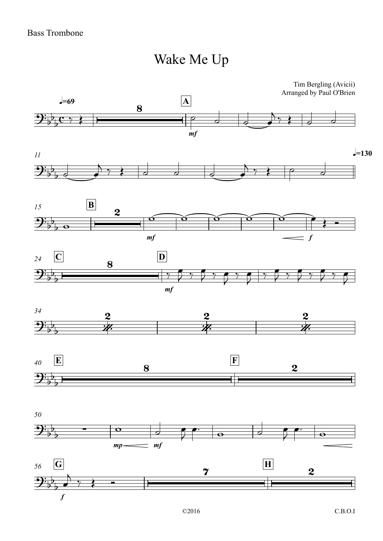## Wake Me Up